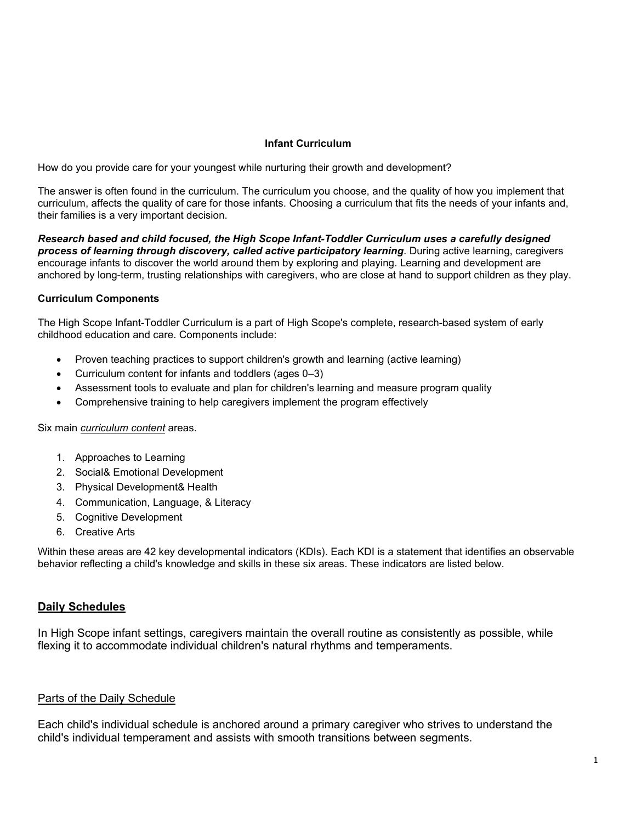### **Infant Curriculum**

How do you provide care for your youngest while nurturing their growth and development?

The answer is often found in the curriculum. The curriculum you choose, and the quality of how you implement that curriculum, affects the quality of care for those infants. Choosing a curriculum that fits the needs of your infants and, their families is a very important decision.

*Research based and child focused, the High Scope Infant-Toddler Curriculum uses a carefully designed process of learning through discovery, called active participatory learning*. During active learning, caregivers encourage infants to discover the world around them by exploring and playing. Learning and development are anchored by long-term, trusting relationships with caregivers, who are close at hand to support children as they play.

## **Curriculum Components**

The High Scope Infant-Toddler Curriculum is a part of High Scope's complete, research-based system of early childhood education and care. Components include:

- Proven teaching practices to support children's growth and learning (active learning)
- Curriculum content for infants and toddlers (ages 0–3)
- Assessment tools to evaluate and plan for children's learning and measure program quality
- Comprehensive training to help caregivers implement the program effectively

### Six main *curriculum content* areas.

- 1. Approaches to Learning
- 2. Social& Emotional Development
- 3. Physical Development& Health
- 4. Communication, Language, & Literacy
- 5. Cognitive Development
- 6. Creative Arts

Within these areas are 42 key developmental indicators (KDIs). Each KDI is a statement that identifies an observable behavior reflecting a child's knowledge and skills in these six areas. These indicators are listed below.

## **Daily Schedules**

In High Scope infant settings, caregivers maintain the overall routine as consistently as possible, while flexing it to accommodate individual children's natural rhythms and temperaments.

## Parts of the Daily Schedule

Each child's individual schedule is anchored around a primary caregiver who strives to understand the child's individual temperament and assists with smooth transitions between segments.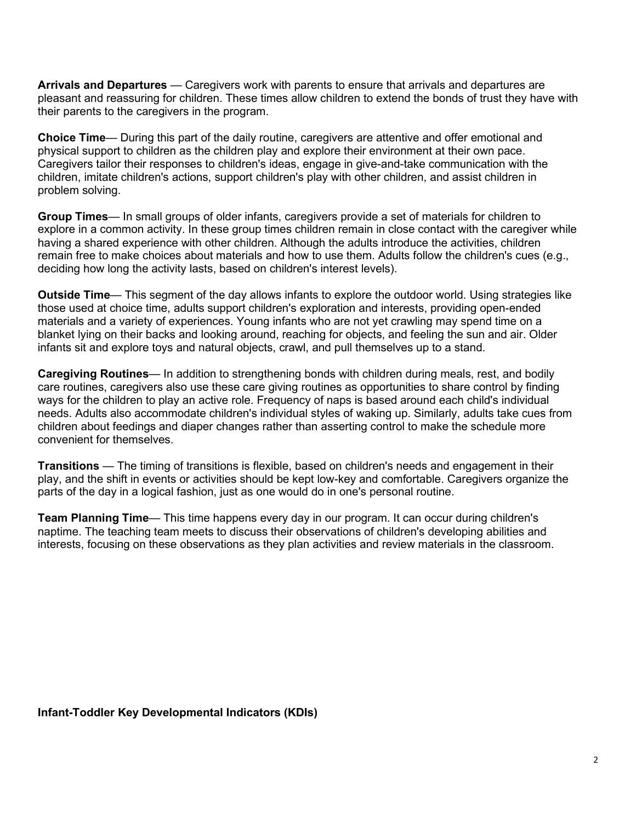**Arrivals and Departures** — Caregivers work with parents to ensure that arrivals and departures are pleasant and reassuring for children. These times allow children to extend the bonds of trust they have with their parents to the caregivers in the program.

**Choice Time**— During this part of the daily routine, caregivers are attentive and offer emotional and physical support to children as the children play and explore their environment at their own pace. Caregivers tailor their responses to children's ideas, engage in give-and-take communication with the children, imitate children's actions, support children's play with other children, and assist children in problem solving.

**Group Times**— In small groups of older infants, caregivers provide a set of materials for children to explore in a common activity. In these group times children remain in close contact with the caregiver while having a shared experience with other children. Although the adults introduce the activities, children remain free to make choices about materials and how to use them. Adults follow the children's cues (e.g., deciding how long the activity lasts, based on children's interest levels).

**Outside Time**— This segment of the day allows infants to explore the outdoor world. Using strategies like those used at choice time, adults support children's exploration and interests, providing open-ended materials and a variety of experiences. Young infants who are not yet crawling may spend time on a blanket lying on their backs and looking around, reaching for objects, and feeling the sun and air. Older infants sit and explore toys and natural objects, crawl, and pull themselves up to a stand.

**Caregiving Routines**— In addition to strengthening bonds with children during meals, rest, and bodily care routines, caregivers also use these care giving routines as opportunities to share control by finding ways for the children to play an active role. Frequency of naps is based around each child's individual needs. Adults also accommodate children's individual styles of waking up. Similarly, adults take cues from children about feedings and diaper changes rather than asserting control to make the schedule more convenient for themselves.

**Transitions** — The timing of transitions is flexible, based on children's needs and engagement in their play, and the shift in events or activities should be kept low-key and comfortable. Caregivers organize the parts of the day in a logical fashion, just as one would do in one's personal routine.

**Team Planning Time**— This time happens every day in our program. It can occur during children's naptime. The teaching team meets to discuss their observations of children's developing abilities and interests, focusing on these observations as they plan activities and review materials in the classroom.

**Infant-Toddler Key Developmental Indicators (KDIs)**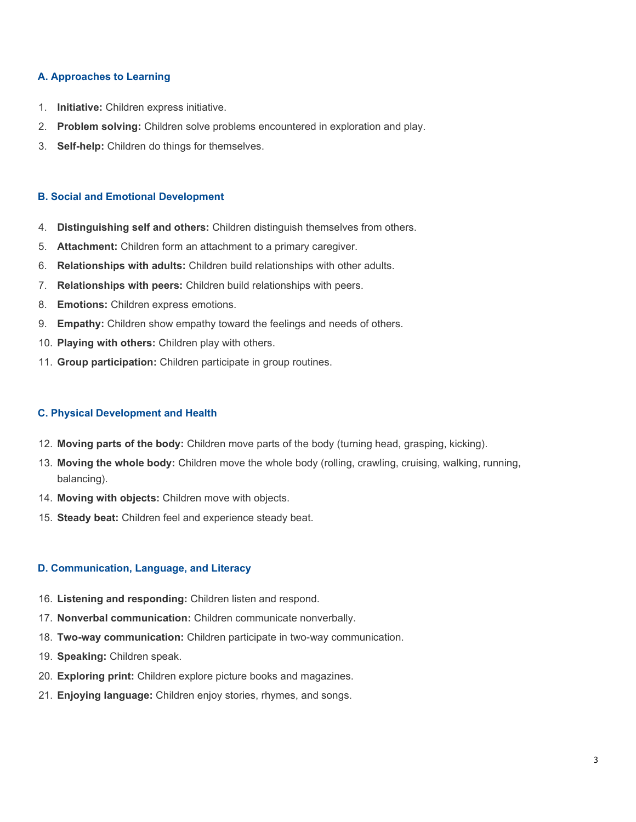### **A. Approaches to Learning**

- 1. **Initiative:** Children express initiative.
- 2. **Problem solving:** Children solve problems encountered in exploration and play.
- 3. **Self-help:** Children do things for themselves.

#### **B. Social and Emotional Development**

- 4. **Distinguishing self and others:** Children distinguish themselves from others.
- 5. **Attachment:** Children form an attachment to a primary caregiver.
- 6. **Relationships with adults:** Children build relationships with other adults.
- 7. **Relationships with peers:** Children build relationships with peers.
- 8. **Emotions:** Children express emotions.
- 9. **Empathy:** Children show empathy toward the feelings and needs of others.
- 10. **Playing with others:** Children play with others.
- 11. **Group participation:** Children participate in group routines.

#### **C. Physical Development and Health**

- 12. **Moving parts of the body:** Children move parts of the body (turning head, grasping, kicking).
- 13. **Moving the whole body:** Children move the whole body (rolling, crawling, cruising, walking, running, balancing).
- 14. **Moving with objects:** Children move with objects.
- 15. **Steady beat:** Children feel and experience steady beat.

# **D. Communication, Language, and Literacy**

- 16. **Listening and responding:** Children listen and respond.
- 17. **Nonverbal communication:** Children communicate nonverbally.
- 18. **Two-way communication:** Children participate in two-way communication.
- 19. **Speaking:** Children speak.
- 20. **Exploring print:** Children explore picture books and magazines.
- 21. **Enjoying language:** Children enjoy stories, rhymes, and songs.